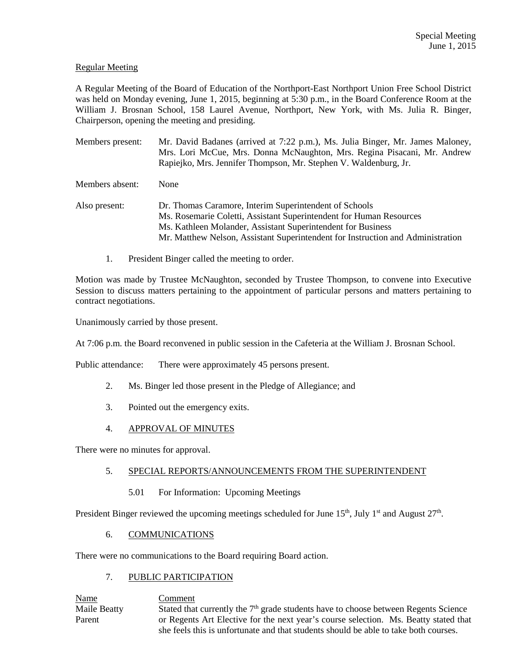## Regular Meeting

A Regular Meeting of the Board of Education of the Northport-East Northport Union Free School District was held on Monday evening, June 1, 2015, beginning at 5:30 p.m., in the Board Conference Room at the William J. Brosnan School, 158 Laurel Avenue, Northport, New York, with Ms. Julia R. Binger, Chairperson, opening the meeting and presiding.

Members present: Mr. David Badanes (arrived at 7:22 p.m.), Ms. Julia Binger, Mr. James Maloney, Mrs. Lori McCue, Mrs. Donna McNaughton, Mrs. Regina Pisacani, Mr. Andrew Rapiejko, Mrs. Jennifer Thompson, Mr. Stephen V. Waldenburg, Jr.

Members absent: None

Also present: Dr. Thomas Caramore, Interim Superintendent of Schools Ms. Rosemarie Coletti, Assistant Superintendent for Human Resources Ms. Kathleen Molander, Assistant Superintendent for Business Mr. Matthew Nelson, Assistant Superintendent for Instruction and Administration

1. President Binger called the meeting to order.

Motion was made by Trustee McNaughton, seconded by Trustee Thompson, to convene into Executive Session to discuss matters pertaining to the appointment of particular persons and matters pertaining to contract negotiations.

Unanimously carried by those present.

At 7:06 p.m. the Board reconvened in public session in the Cafeteria at the William J. Brosnan School.

Public attendance: There were approximately 45 persons present.

- 2. Ms. Binger led those present in the Pledge of Allegiance; and
- 3. Pointed out the emergency exits.
- 4. APPROVAL OF MINUTES

There were no minutes for approval.

## 5. SPECIAL REPORTS/ANNOUNCEMENTS FROM THE SUPERINTENDENT

5.01 For Information: Upcoming Meetings

President Binger reviewed the upcoming meetings scheduled for June  $15<sup>th</sup>$ , July  $1<sup>st</sup>$  and August  $27<sup>th</sup>$ .

## 6. COMMUNICATIONS

There were no communications to the Board requiring Board action.

# 7. PUBLIC PARTICIPATION

Name Comment Maile Beatty Stated that currently the  $7<sup>th</sup>$  grade students have to choose between Regents Science Parent or Regents Art Elective for the next year's course selection. Ms. Beatty stated that she feels this is unfortunate and that students should be able to take both courses.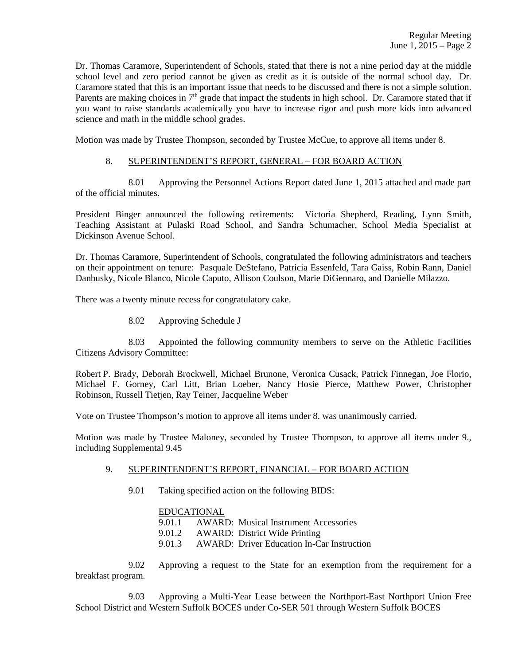Dr. Thomas Caramore, Superintendent of Schools, stated that there is not a nine period day at the middle school level and zero period cannot be given as credit as it is outside of the normal school day. Dr. Caramore stated that this is an important issue that needs to be discussed and there is not a simple solution. Parents are making choices in  $7<sup>th</sup>$  grade that impact the students in high school. Dr. Caramore stated that if you want to raise standards academically you have to increase rigor and push more kids into advanced science and math in the middle school grades.

Motion was made by Trustee Thompson, seconded by Trustee McCue, to approve all items under 8.

### 8. SUPERINTENDENT'S REPORT, GENERAL – FOR BOARD ACTION

 8.01 Approving the Personnel Actions Report dated June 1, 2015 attached and made part of the official minutes.

President Binger announced the following retirements: Victoria Shepherd, Reading, Lynn Smith, Teaching Assistant at Pulaski Road School, and Sandra Schumacher, School Media Specialist at Dickinson Avenue School.

Dr. Thomas Caramore, Superintendent of Schools, congratulated the following administrators and teachers on their appointment on tenure: Pasquale DeStefano, Patricia Essenfeld, Tara Gaiss, Robin Rann, Daniel Danbusky, Nicole Blanco, Nicole Caputo, Allison Coulson, Marie DiGennaro, and Danielle Milazzo.

There was a twenty minute recess for congratulatory cake.

8.02 Approving Schedule J

 8.03 Appointed the following community members to serve on the Athletic Facilities Citizens Advisory Committee:

Robert P. Brady, Deborah Brockwell, Michael Brunone, Veronica Cusack, Patrick Finnegan, Joe Florio, Michael F. Gorney, Carl Litt, Brian Loeber, Nancy Hosie Pierce, Matthew Power, Christopher Robinson, Russell Tietjen, Ray Teiner, Jacqueline Weber

Vote on Trustee Thompson's motion to approve all items under 8. was unanimously carried.

Motion was made by Trustee Maloney, seconded by Trustee Thompson, to approve all items under 9., including Supplemental 9.45

### 9. SUPERINTENDENT'S REPORT, FINANCIAL – FOR BOARD ACTION

9.01 Taking specified action on the following BIDS:

### EDUCATIONAL

9.01.1 AWARD: Musical Instrument Accessories

- 9.01.2 AWARD: District Wide Printing
- 9.01.3 AWARD: Driver Education In-Car Instruction

 9.02 Approving a request to the State for an exemption from the requirement for a breakfast program.

 9.03 Approving a Multi-Year Lease between the Northport-East Northport Union Free School District and Western Suffolk BOCES under Co-SER 501 through Western Suffolk BOCES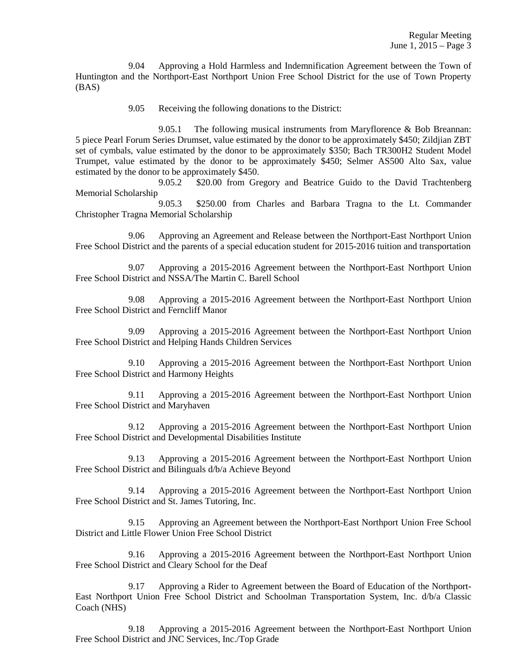9.04 Approving a Hold Harmless and Indemnification Agreement between the Town of Huntington and the Northport-East Northport Union Free School District for the use of Town Property (BAS)

9.05 Receiving the following donations to the District:

 9.05.1 The following musical instruments from Maryflorence & Bob Breannan: 5 piece Pearl Forum Series Drumset, value estimated by the donor to be approximately \$450; Zildjian ZBT set of cymbals, value estimated by the donor to be approximately \$350; Bach TR300H2 Student Model Trumpet, value estimated by the donor to be approximately \$450; Selmer AS500 Alto Sax, value estimated by the donor to be approximately \$450.

 9.05.2 \$20.00 from Gregory and Beatrice Guido to the David Trachtenberg Memorial Scholarship

 9.05.3 \$250.00 from Charles and Barbara Tragna to the Lt. Commander Christopher Tragna Memorial Scholarship

 9.06 Approving an Agreement and Release between the Northport-East Northport Union Free School District and the parents of a special education student for 2015-2016 tuition and transportation

 9.07 Approving a 2015-2016 Agreement between the Northport-East Northport Union Free School District and NSSA/The Martin C. Barell School

 9.08 Approving a 2015-2016 Agreement between the Northport-East Northport Union Free School District and Ferncliff Manor

 9.09 Approving a 2015-2016 Agreement between the Northport-East Northport Union Free School District and Helping Hands Children Services

 9.10 Approving a 2015-2016 Agreement between the Northport-East Northport Union Free School District and Harmony Heights

 9.11 Approving a 2015-2016 Agreement between the Northport-East Northport Union Free School District and Maryhaven

 9.12 Approving a 2015-2016 Agreement between the Northport-East Northport Union Free School District and Developmental Disabilities Institute

 9.13 Approving a 2015-2016 Agreement between the Northport-East Northport Union Free School District and Bilinguals d/b/a Achieve Beyond

 9.14 Approving a 2015-2016 Agreement between the Northport-East Northport Union Free School District and St. James Tutoring, Inc.

 9.15 Approving an Agreement between the Northport-East Northport Union Free School District and Little Flower Union Free School District

 9.16 Approving a 2015-2016 Agreement between the Northport-East Northport Union Free School District and Cleary School for the Deaf

 9.17 Approving a Rider to Agreement between the Board of Education of the Northport-East Northport Union Free School District and Schoolman Transportation System, Inc. d/b/a Classic Coach (NHS)

 9.18 Approving a 2015-2016 Agreement between the Northport-East Northport Union Free School District and JNC Services, Inc./Top Grade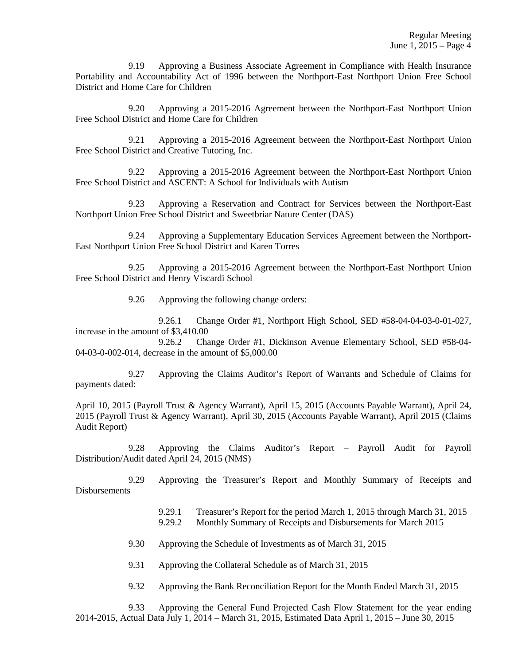9.19 Approving a Business Associate Agreement in Compliance with Health Insurance Portability and Accountability Act of 1996 between the Northport-East Northport Union Free School District and Home Care for Children

 9.20 Approving a 2015-2016 Agreement between the Northport-East Northport Union Free School District and Home Care for Children

 9.21 Approving a 2015-2016 Agreement between the Northport-East Northport Union Free School District and Creative Tutoring, Inc.

 9.22 Approving a 2015-2016 Agreement between the Northport-East Northport Union Free School District and ASCENT: A School for Individuals with Autism

 9.23 Approving a Reservation and Contract for Services between the Northport-East Northport Union Free School District and Sweetbriar Nature Center (DAS)

 9.24 Approving a Supplementary Education Services Agreement between the Northport-East Northport Union Free School District and Karen Torres

 9.25 Approving a 2015-2016 Agreement between the Northport-East Northport Union Free School District and Henry Viscardi School

9.26 Approving the following change orders:

 9.26.1 Change Order #1, Northport High School, SED #58-04-04-03-0-01-027, increase in the amount of \$3,410.00

 9.26.2 Change Order #1, Dickinson Avenue Elementary School, SED #58-04- 04-03-0-002-014, decrease in the amount of \$5,000.00

 9.27 Approving the Claims Auditor's Report of Warrants and Schedule of Claims for payments dated:

April 10, 2015 (Payroll Trust & Agency Warrant), April 15, 2015 (Accounts Payable Warrant), April 24, 2015 (Payroll Trust & Agency Warrant), April 30, 2015 (Accounts Payable Warrant), April 2015 (Claims Audit Report)

 9.28 Approving the Claims Auditor's Report – Payroll Audit for Payroll Distribution/Audit dated April 24, 2015 (NMS)

 9.29 Approving the Treasurer's Report and Monthly Summary of Receipts and Disbursements

> 9.29.1 Treasurer's Report for the period March 1, 2015 through March 31, 2015 9.29.2 Monthly Summary of Receipts and Disbursements for March 2015

9.30 Approving the Schedule of Investments as of March 31, 2015

9.31 Approving the Collateral Schedule as of March 31, 2015

9.32 Approving the Bank Reconciliation Report for the Month Ended March 31, 2015

 9.33 Approving the General Fund Projected Cash Flow Statement for the year ending 2014-2015, Actual Data July 1, 2014 – March 31, 2015, Estimated Data April 1, 2015 – June 30, 2015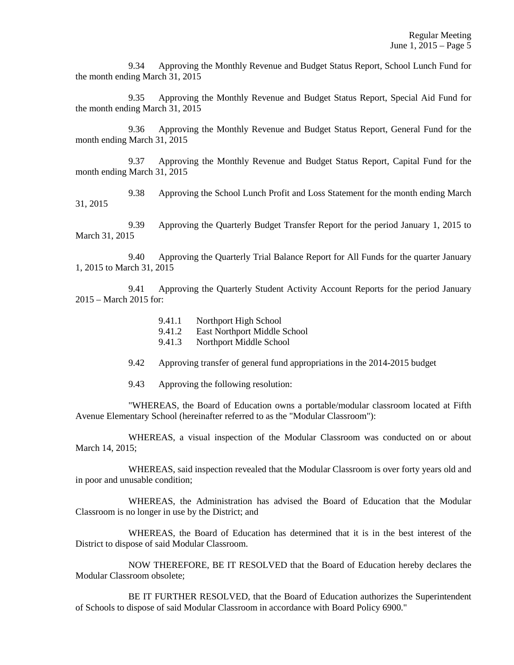9.34 Approving the Monthly Revenue and Budget Status Report, School Lunch Fund for the month ending March 31, 2015

 9.35 Approving the Monthly Revenue and Budget Status Report, Special Aid Fund for the month ending March 31, 2015

 9.36 Approving the Monthly Revenue and Budget Status Report, General Fund for the month ending March 31, 2015

 9.37 Approving the Monthly Revenue and Budget Status Report, Capital Fund for the month ending March 31, 2015

 9.38 Approving the School Lunch Profit and Loss Statement for the month ending March 31, 2015

 9.39 Approving the Quarterly Budget Transfer Report for the period January 1, 2015 to March 31, 2015

 9.40 Approving the Quarterly Trial Balance Report for All Funds for the quarter January 1, 2015 to March 31, 2015

 9.41 Approving the Quarterly Student Activity Account Reports for the period January 2015 – March 2015 for:

- 9.41.1 Northport High School
- 9.41.2 East Northport Middle School
- 9.41.3 Northport Middle School
- 9.42 Approving transfer of general fund appropriations in the 2014-2015 budget
- 9.43 Approving the following resolution:

 "WHEREAS, the Board of Education owns a portable/modular classroom located at Fifth Avenue Elementary School (hereinafter referred to as the "Modular Classroom"):

 WHEREAS, a visual inspection of the Modular Classroom was conducted on or about March 14, 2015;

 WHEREAS, said inspection revealed that the Modular Classroom is over forty years old and in poor and unusable condition;

 WHEREAS, the Administration has advised the Board of Education that the Modular Classroom is no longer in use by the District; and

 WHEREAS, the Board of Education has determined that it is in the best interest of the District to dispose of said Modular Classroom.

 NOW THEREFORE, BE IT RESOLVED that the Board of Education hereby declares the Modular Classroom obsolete;

 BE IT FURTHER RESOLVED, that the Board of Education authorizes the Superintendent of Schools to dispose of said Modular Classroom in accordance with Board Policy 6900."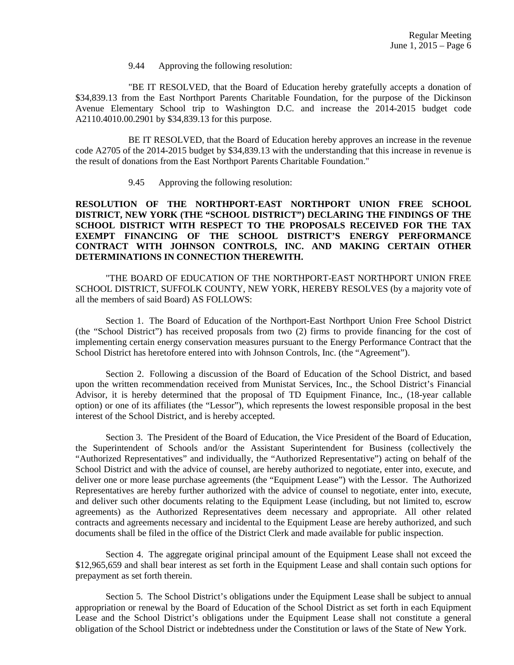9.44 Approving the following resolution:

 "BE IT RESOLVED, that the Board of Education hereby gratefully accepts a donation of \$34,839.13 from the East Northport Parents Charitable Foundation, for the purpose of the Dickinson Avenue Elementary School trip to Washington D.C. and increase the 2014-2015 budget code A2110.4010.00.2901 by \$34,839.13 for this purpose.

 BE IT RESOLVED, that the Board of Education hereby approves an increase in the revenue code A2705 of the 2014-2015 budget by \$34,839.13 with the understanding that this increase in revenue is the result of donations from the East Northport Parents Charitable Foundation."

9.45 Approving the following resolution:

## **RESOLUTION OF THE NORTHPORT-EAST NORTHPORT UNION FREE SCHOOL DISTRICT, NEW YORK (THE "SCHOOL DISTRICT") DECLARING THE FINDINGS OF THE SCHOOL DISTRICT WITH RESPECT TO THE PROPOSALS RECEIVED FOR THE TAX EXEMPT FINANCING OF THE SCHOOL DISTRICT'S ENERGY PERFORMANCE CONTRACT WITH JOHNSON CONTROLS, INC. AND MAKING CERTAIN OTHER DETERMINATIONS IN CONNECTION THEREWITH.**

"THE BOARD OF EDUCATION OF THE NORTHPORT-EAST NORTHPORT UNION FREE SCHOOL DISTRICT, SUFFOLK COUNTY, NEW YORK, HEREBY RESOLVES (by a majority vote of all the members of said Board) AS FOLLOWS:

Section 1. The Board of Education of the Northport-East Northport Union Free School District (the "School District") has received proposals from two (2) firms to provide financing for the cost of implementing certain energy conservation measures pursuant to the Energy Performance Contract that the School District has heretofore entered into with Johnson Controls, Inc. (the "Agreement").

Section 2. Following a discussion of the Board of Education of the School District, and based upon the written recommendation received from Munistat Services, Inc., the School District's Financial Advisor, it is hereby determined that the proposal of TD Equipment Finance, Inc., (18-year callable option) or one of its affiliates (the "Lessor"), which represents the lowest responsible proposal in the best interest of the School District, and is hereby accepted.

Section 3. The President of the Board of Education, the Vice President of the Board of Education, the Superintendent of Schools and/or the Assistant Superintendent for Business (collectively the "Authorized Representatives" and individually, the "Authorized Representative") acting on behalf of the School District and with the advice of counsel, are hereby authorized to negotiate, enter into, execute, and deliver one or more lease purchase agreements (the "Equipment Lease") with the Lessor. The Authorized Representatives are hereby further authorized with the advice of counsel to negotiate, enter into, execute, and deliver such other documents relating to the Equipment Lease (including, but not limited to, escrow agreements) as the Authorized Representatives deem necessary and appropriate. All other related contracts and agreements necessary and incidental to the Equipment Lease are hereby authorized, and such documents shall be filed in the office of the District Clerk and made available for public inspection.

Section 4. The aggregate original principal amount of the Equipment Lease shall not exceed the \$12,965,659 and shall bear interest as set forth in the Equipment Lease and shall contain such options for prepayment as set forth therein.

Section 5. The School District's obligations under the Equipment Lease shall be subject to annual appropriation or renewal by the Board of Education of the School District as set forth in each Equipment Lease and the School District's obligations under the Equipment Lease shall not constitute a general obligation of the School District or indebtedness under the Constitution or laws of the State of New York.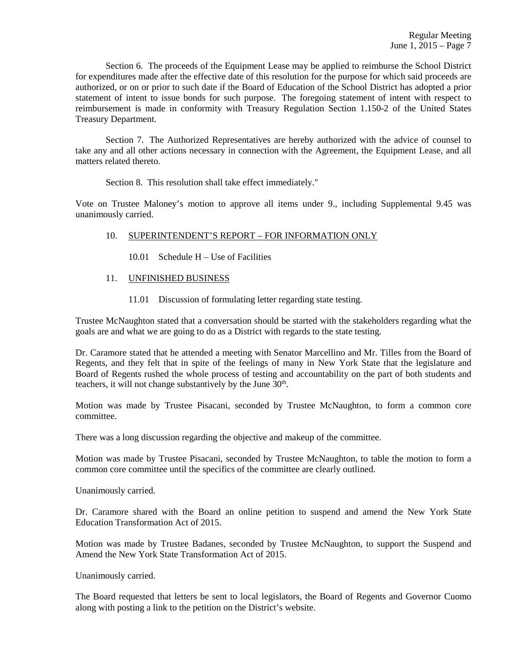Section 6. The proceeds of the Equipment Lease may be applied to reimburse the School District for expenditures made after the effective date of this resolution for the purpose for which said proceeds are authorized, or on or prior to such date if the Board of Education of the School District has adopted a prior statement of intent to issue bonds for such purpose. The foregoing statement of intent with respect to reimbursement is made in conformity with Treasury Regulation Section 1.150-2 of the United States Treasury Department.

Section 7. The Authorized Representatives are hereby authorized with the advice of counsel to take any and all other actions necessary in connection with the Agreement, the Equipment Lease, and all matters related thereto.

Section 8. This resolution shall take effect immediately."

Vote on Trustee Maloney's motion to approve all items under 9., including Supplemental 9.45 was unanimously carried.

# 10. SUPERINTENDENT'S REPORT – FOR INFORMATION ONLY

- 10.01 Schedule H Use of Facilities
- 11. UNFINISHED BUSINESS
	- 11.01 Discussion of formulating letter regarding state testing.

Trustee McNaughton stated that a conversation should be started with the stakeholders regarding what the goals are and what we are going to do as a District with regards to the state testing.

Dr. Caramore stated that he attended a meeting with Senator Marcellino and Mr. Tilles from the Board of Regents, and they felt that in spite of the feelings of many in New York State that the legislature and Board of Regents rushed the whole process of testing and accountability on the part of both students and teachers, it will not change substantively by the June  $30<sup>th</sup>$ .

Motion was made by Trustee Pisacani, seconded by Trustee McNaughton, to form a common core committee.

There was a long discussion regarding the objective and makeup of the committee.

Motion was made by Trustee Pisacani, seconded by Trustee McNaughton, to table the motion to form a common core committee until the specifics of the committee are clearly outlined.

Unanimously carried.

Dr. Caramore shared with the Board an online petition to suspend and amend the New York State Education Transformation Act of 2015.

Motion was made by Trustee Badanes, seconded by Trustee McNaughton, to support the Suspend and Amend the New York State Transformation Act of 2015.

Unanimously carried.

The Board requested that letters be sent to local legislators, the Board of Regents and Governor Cuomo along with posting a link to the petition on the District's website.